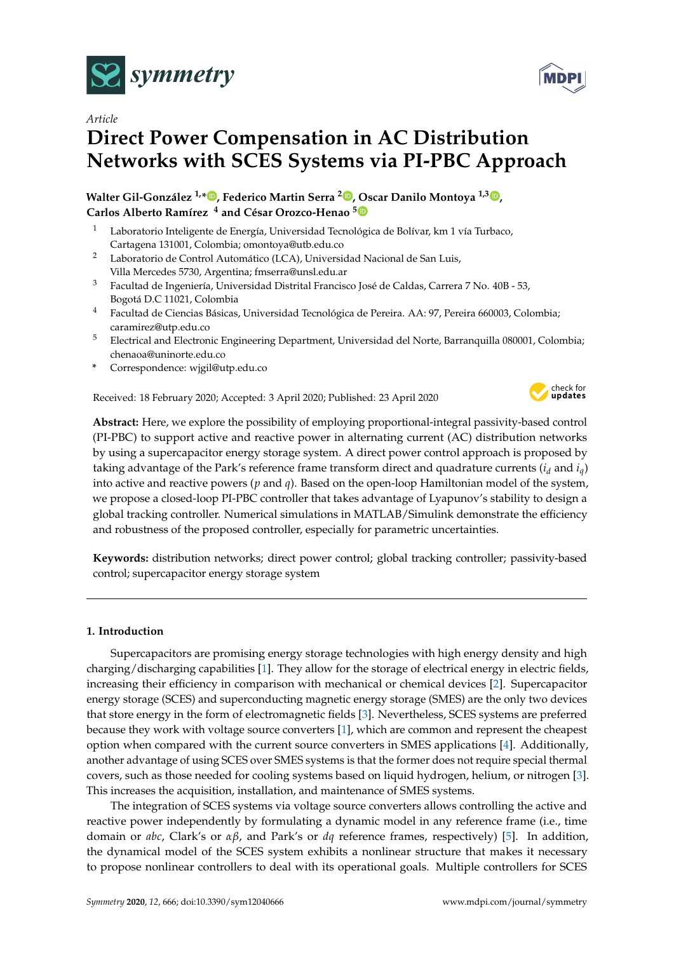



# *Article* **Direct Power Compensation in AC Distribution Networks with SCES Systems via PI-PBC Approach**

**Walter Gil-González 1,\* [,](https://orcid.org/0000-0001-7609-1197) Federico Martin Serra <sup>2</sup> [,](https://orcid.org/0000-0002-4467-7836) Oscar Danilo Montoya 1,3 [,](https://orcid.org/0000-0001-6051-4925) Carlos Alberto Ramírez <sup>4</sup> and César Orozco-Henao [5](https://orcid.org/0000-0002-8184-6205)**

- <sup>1</sup> Laboratorio Inteligente de Energía, Universidad Tecnológica de Bolívar, km 1 vía Turbaco, Cartagena 131001, Colombia; omontoya@utb.edu.co
- <sup>2</sup> Laboratorio de Control Automático (LCA), Universidad Nacional de San Luis, Villa Mercedes 5730, Argentina; fmserra@unsl.edu.ar
- <sup>3</sup> Facultad de Ingeniería, Universidad Distrital Francisco José de Caldas, Carrera 7 No. 40B 53, Bogotá D.C 11021, Colombia
- <sup>4</sup> Facultad de Ciencias Básicas, Universidad Tecnológica de Pereira. AA: 97, Pereira 660003, Colombia; caramirez@utp.edu.co
- <sup>5</sup> Electrical and Electronic Engineering Department, Universidad del Norte, Barranquilla 080001, Colombia; chenaoa@uninorte.edu.co
- **\*** Correspondence: wjgil@utp.edu.co

Received: 18 February 2020; Accepted: 3 April 2020; Published: 23 April 2020



**Abstract:** Here, we explore the possibility of employing proportional-integral passivity-based control (PI-PBC) to support active and reactive power in alternating current (AC) distribution networks by using a supercapacitor energy storage system. A direct power control approach is proposed by taking advantage of the Park's reference frame transform direct and quadrature currents  $(i_d \text{ and } i_q)$ into active and reactive powers (*p* and *q*). Based on the open-loop Hamiltonian model of the system, we propose a closed-loop PI-PBC controller that takes advantage of Lyapunov's stability to design a global tracking controller. Numerical simulations in MATLAB/Simulink demonstrate the efficiency and robustness of the proposed controller, especially for parametric uncertainties.

**Keywords:** distribution networks; direct power control; global tracking controller; passivity-based control; supercapacitor energy storage system

# **1. Introduction**

Supercapacitors are promising energy storage technologies with high energy density and high charging/discharging capabilities [\[1\]](#page-13-0). They allow for the storage of electrical energy in electric fields, increasing their efficiency in comparison with mechanical or chemical devices [\[2\]](#page-13-1). Supercapacitor energy storage (SCES) and superconducting magnetic energy storage (SMES) are the only two devices that store energy in the form of electromagnetic fields [\[3\]](#page-13-2). Nevertheless, SCES systems are preferred because they work with voltage source converters [\[1\]](#page-13-0), which are common and represent the cheapest option when compared with the current source converters in SMES applications [\[4\]](#page-13-3). Additionally, another advantage of using SCES over SMES systems is that the former does not require special thermal covers, such as those needed for cooling systems based on liquid hydrogen, helium, or nitrogen [\[3\]](#page-13-2). This increases the acquisition, installation, and maintenance of SMES systems.

The integration of SCES systems via voltage source converters allows controlling the active and reactive power independently by formulating a dynamic model in any reference frame (i.e., time domain or *abc*, Clark's or *αβ*, and Park's or *dq* reference frames, respectively) [\[5\]](#page-13-4). In addition, the dynamical model of the SCES system exhibits a nonlinear structure that makes it necessary to propose nonlinear controllers to deal with its operational goals. Multiple controllers for SCES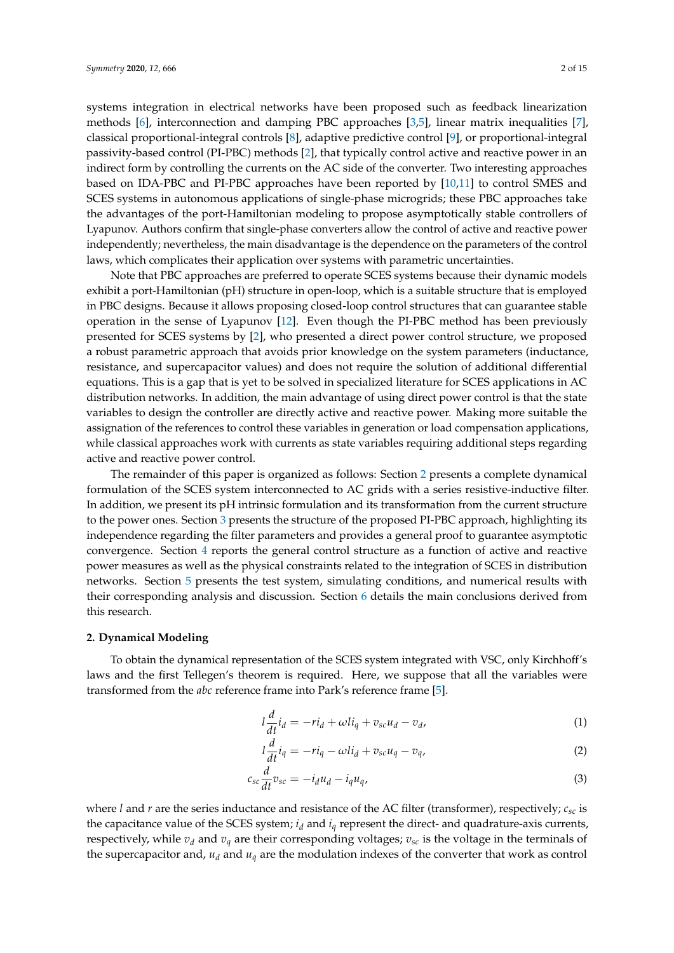systems integration in electrical networks have been proposed such as feedback linearization methods [\[6\]](#page-13-5), interconnection and damping PBC approaches [\[3](#page-13-2)[,5\]](#page-13-4), linear matrix inequalities [\[7\]](#page-13-6), classical proportional-integral controls [\[8\]](#page-13-7), adaptive predictive control [\[9\]](#page-13-8), or proportional-integral passivity-based control (PI-PBC) methods [\[2\]](#page-13-1), that typically control active and reactive power in an indirect form by controlling the currents on the AC side of the converter. Two interesting approaches based on IDA-PBC and PI-PBC approaches have been reported by [\[10](#page-13-9)[,11\]](#page-13-10) to control SMES and SCES systems in autonomous applications of single-phase microgrids; these PBC approaches take the advantages of the port-Hamiltonian modeling to propose asymptotically stable controllers of Lyapunov. Authors confirm that single-phase converters allow the control of active and reactive power independently; nevertheless, the main disadvantage is the dependence on the parameters of the control laws, which complicates their application over systems with parametric uncertainties.

Note that PBC approaches are preferred to operate SCES systems because their dynamic models exhibit a port-Hamiltonian (pH) structure in open-loop, which is a suitable structure that is employed in PBC designs. Because it allows proposing closed-loop control structures that can guarantee stable operation in the sense of Lyapunov [\[12\]](#page-13-11). Even though the PI-PBC method has been previously presented for SCES systems by [\[2\]](#page-13-1), who presented a direct power control structure, we proposed a robust parametric approach that avoids prior knowledge on the system parameters (inductance, resistance, and supercapacitor values) and does not require the solution of additional differential equations. This is a gap that is yet to be solved in specialized literature for SCES applications in AC distribution networks. In addition, the main advantage of using direct power control is that the state variables to design the controller are directly active and reactive power. Making more suitable the assignation of the references to control these variables in generation or load compensation applications, while classical approaches work with currents as state variables requiring additional steps regarding active and reactive power control.

The remainder of this paper is organized as follows: Section [2](#page-1-0) presents a complete dynamical formulation of the SCES system interconnected to AC grids with a series resistive-inductive filter. In addition, we present its pH intrinsic formulation and its transformation from the current structure to the power ones. Section [3](#page-3-0) presents the structure of the proposed PI-PBC approach, highlighting its independence regarding the filter parameters and provides a general proof to guarantee asymptotic convergence. Section [4](#page-5-0) reports the general control structure as a function of active and reactive power measures as well as the physical constraints related to the integration of SCES in distribution networks. Section [5](#page-6-0) presents the test system, simulating conditions, and numerical results with their corresponding analysis and discussion. Section [6](#page-8-0) details the main conclusions derived from this research.

#### <span id="page-1-0"></span>**2. Dynamical Modeling**

To obtain the dynamical representation of the SCES system integrated with VSC, only Kirchhoff's laws and the first Tellegen's theorem is required. Here, we suppose that all the variables were transformed from the *abc* reference frame into Park's reference frame [\[5\]](#page-13-4).

<span id="page-1-3"></span><span id="page-1-1"></span>
$$
l\frac{d}{dt}i_d = -ri_d + \omega li_q + v_{sc}u_d - v_d,
$$
\n(1)

<span id="page-1-2"></span>
$$
l\frac{d}{dt}i_q = -ri_q - \omega li_d + v_{sc}u_q - v_q,
$$
\n(2)

$$
c_{sc} \frac{d}{dt} v_{sc} = -i_d u_d - i_q u_q, \tag{3}
$$

where *l* and *r* are the series inductance and resistance of the AC filter (transformer), respectively; *csc* is the capacitance value of the SCES system;  $i_d$  and  $i_q$  represent the direct- and quadrature-axis currents, respectively, while  $v_d$  and  $v_q$  are their corresponding voltages;  $v_{sc}$  is the voltage in the terminals of the supercapacitor and,  $u_d$  and  $u_q$  are the modulation indexes of the converter that work as control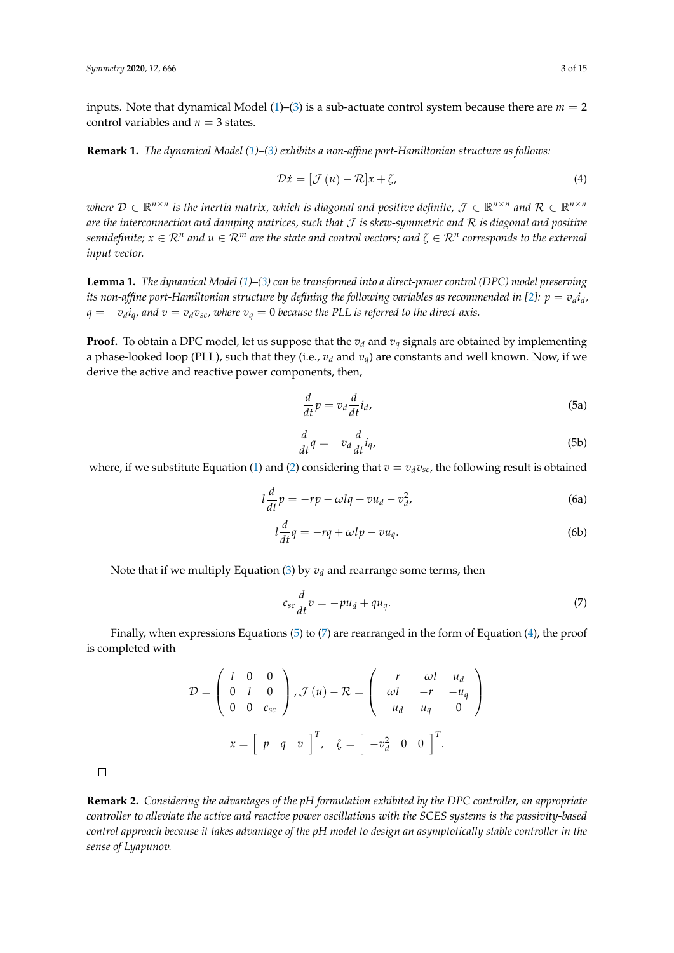inputs. Note that dynamical Model  $(1)$ – $(3)$  is a sub-actuate control system because there are  $m = 2$ control variables and  $n = 3$  states.

**Remark 1.** *The dynamical Model [\(1\)](#page-1-1)–[\(3\)](#page-1-2) exhibits a non-affine port-Hamiltonian structure as follows:*

<span id="page-2-2"></span>
$$
\mathcal{D}\dot{x} = [\mathcal{J}(u) - \mathcal{R}]\dot{x} + \zeta,\tag{4}
$$

 $\forall x$  *where*  $D \in \mathbb{R}^{n \times n}$  is the inertia matrix, which is diagonal and positive definite,  $\mathcal{J} \in \mathbb{R}^{n \times n}$  and  $\mathcal{R} \in \mathbb{R}^{n \times n}$ *are the interconnection and damping matrices, such that* J *is skew-symmetric and* R *is diagonal and positive*  $s$ emidefinite;  $x \in \mathcal{R}^n$  and  $u \in \mathcal{R}^m$  are the state and control vectors; and  $\zeta \in \mathcal{R}^n$  corresponds to the external *input vector.*

**Lemma 1.** *The dynamical Model [\(1\)](#page-1-1)–[\(3\)](#page-1-2) can be transformed into a direct-power control (DPC) model preserving* its non-affine port-Hamiltonian structure by defining the following variables as recommended in [\[2\]](#page-13-1):  $p=v_d i_d$ , *q* = −*v<sup>d</sup> iq, and v* = *vdvsc, where v<sup>q</sup>* = 0 *because the PLL is referred to the direct-axis.*

**Proof.** To obtain a DPC model, let us suppose that the  $v_d$  and  $v_q$  signals are obtained by implementing a phase-looked loop (PLL), such that they (i.e., *v<sup>d</sup>* and *vq*) are constants and well known. Now, if we derive the active and reactive power components, then,

$$
\frac{d}{dt}p = v_d \frac{d}{dt} i_d,
$$
\n(5a)

<span id="page-2-0"></span>
$$
\frac{d}{dt}q = -v_d \frac{d}{dt} i_q,\tag{5b}
$$

where, if we substitute Equation [\(1\)](#page-1-1) and [\(2\)](#page-1-3) considering that  $v = v_d v_{sc}$ , the following result is obtained

$$
l\frac{d}{dt}p = -rp - \omega lq + vu_d - v_d^2,
$$
\t(6a)

$$
l\frac{d}{dt}q = -rq + \omega lp - vu_q.
$$
 (6b)

Note that if we multiply Equation [\(3\)](#page-1-2) by  $v_d$  and rearrange some terms, then

<span id="page-2-1"></span>
$$
c_{sc}\frac{d}{dt}v = -pu_d + qu_q.
$$
\n(7)

Finally, when expressions Equations  $(5)$  to  $(7)$  are rearranged in the form of Equation  $(4)$ , the proof is completed with

$$
\mathcal{D} = \begin{pmatrix} l & 0 & 0 \\ 0 & l & 0 \\ 0 & 0 & c_{sc} \end{pmatrix}, \mathcal{J}(u) - \mathcal{R} = \begin{pmatrix} -r & -\omega l & u_d \\ \omega l & -r & -u_q \\ -u_d & u_q & 0 \end{pmatrix}
$$

$$
x = \begin{bmatrix} p & q & v \end{bmatrix}^T, \quad \zeta = \begin{bmatrix} -v_d^2 & 0 & 0 \end{bmatrix}^T.
$$

 $\Box$ 

**Remark 2.** *Considering the advantages of the pH formulation exhibited by the DPC controller, an appropriate controller to alleviate the active and reactive power oscillations with the SCES systems is the passivity-based control approach because it takes advantage of the pH model to design an asymptotically stable controller in the sense of Lyapunov.*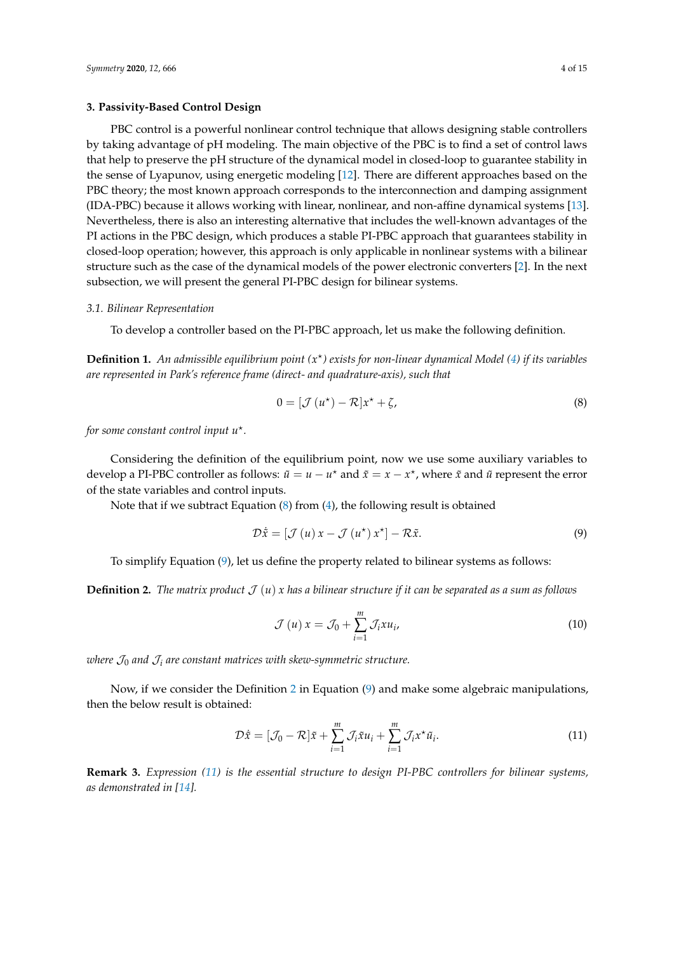#### <span id="page-3-0"></span>**3. Passivity-Based Control Design**

PBC control is a powerful nonlinear control technique that allows designing stable controllers by taking advantage of pH modeling. The main objective of the PBC is to find a set of control laws that help to preserve the pH structure of the dynamical model in closed-loop to guarantee stability in the sense of Lyapunov, using energetic modeling [\[12\]](#page-13-11). There are different approaches based on the PBC theory; the most known approach corresponds to the interconnection and damping assignment (IDA-PBC) because it allows working with linear, nonlinear, and non-affine dynamical systems [\[13\]](#page-14-0). Nevertheless, there is also an interesting alternative that includes the well-known advantages of the PI actions in the PBC design, which produces a stable PI-PBC approach that guarantees stability in closed-loop operation; however, this approach is only applicable in nonlinear systems with a bilinear structure such as the case of the dynamical models of the power electronic converters [\[2\]](#page-13-1). In the next subsection, we will present the general PI-PBC design for bilinear systems.

#### *3.1. Bilinear Representation*

To develop a controller based on the PI-PBC approach, let us make the following definition.

**Definition 1.** *An admissible equilibrium point (x* ? *) exists for non-linear dynamical Model [\(4\)](#page-2-2) if its variables are represented in Park's reference frame (direct- and quadrature-axis), such that*

<span id="page-3-1"></span>
$$
0 = [\mathcal{J}(u^*) - \mathcal{R}]x^* + \zeta,\tag{8}
$$

*for some constant control input u*? *.*

Considering the definition of the equilibrium point, now we use some auxiliary variables to develop a PI-PBC controller as follows:  $\tilde{u} = u - u^*$  and  $\tilde{x} = x - x^*$ , where  $\tilde{x}$  and  $\tilde{u}$  represent the error of the state variables and control inputs.

Note that if we subtract Equation [\(8\)](#page-3-1) from [\(4\)](#page-2-2), the following result is obtained

$$
\mathcal{D}\dot{\tilde{x}} = [\mathcal{J}(u) x - \mathcal{J}(u^*) x^*] - \mathcal{R}\tilde{x}.
$$
\n(9)

To simplify Equation [\(9\)](#page-3-2), let us define the property related to bilinear systems as follows:

<span id="page-3-3"></span>**Definition 2.** *The matrix product*  $\mathcal{J}(u)$  *x* has a bilinear structure if it can be separated as a sum as follows

<span id="page-3-4"></span><span id="page-3-2"></span>
$$
\mathcal{J}(u) x = \mathcal{J}_0 + \sum_{i=1}^{m} \mathcal{J}_i x u_i,
$$
\n(10)

*where*  $\mathcal{J}_0$  *and*  $\mathcal{J}_i$  *are constant matrices with skew-symmetric structure.* 

Now, if we consider the Definition [2](#page-3-3) in Equation [\(9\)](#page-3-2) and make some algebraic manipulations, then the below result is obtained:

$$
\mathcal{D}\dot{\tilde{x}} = [\mathcal{J}_0 - \mathcal{R}]\tilde{x} + \sum_{i=1}^m \mathcal{J}_i \tilde{x} u_i + \sum_{i=1}^m \mathcal{J}_i x^* \tilde{u}_i.
$$
 (11)

**Remark 3.** *Expression [\(11\)](#page-3-4) is the essential structure to design PI-PBC controllers for bilinear systems, as demonstrated in [\[14\]](#page-14-1).*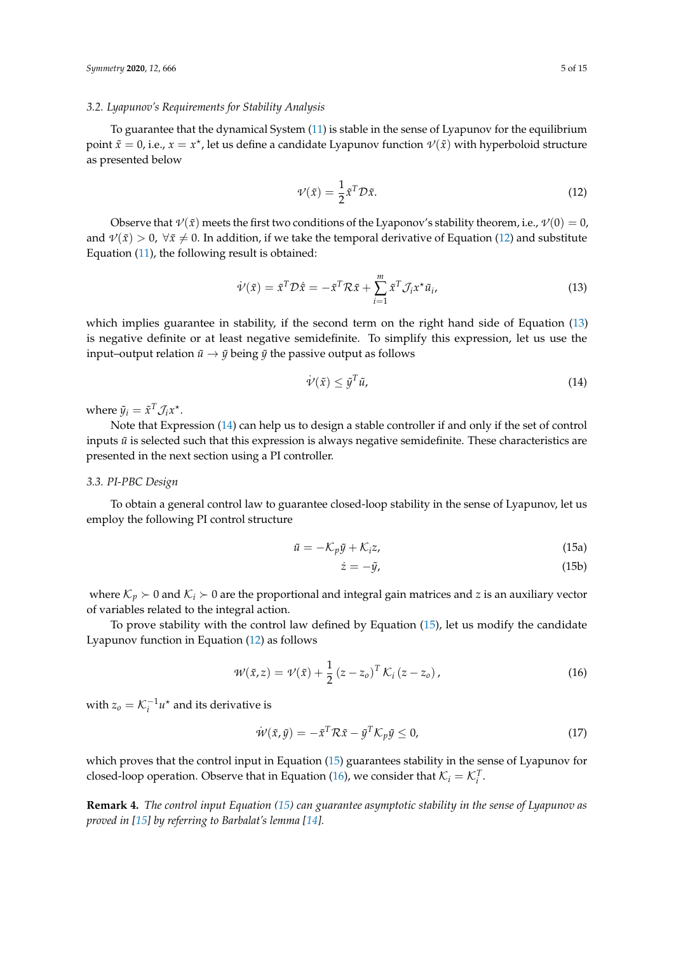#### *3.2. Lyapunov's Requirements for Stability Analysis*

To guarantee that the dynamical System [\(11\)](#page-3-4) is stable in the sense of Lyapunov for the equilibrium point  $\tilde{x} = 0$ , i.e.,  $x = x^*$ , let us define a candidate Lyapunov function  $\mathcal{V}(\tilde{x})$  with hyperboloid structure as presented below

<span id="page-4-0"></span>
$$
\mathcal{V}(\tilde{x}) = \frac{1}{2} \tilde{x}^T \mathcal{D} \tilde{x}.\tag{12}
$$

Observe that  $\nu(\tilde{x})$  meets the first two conditions of the Lyaponov's stability theorem, i.e.,  $\nu(0) = 0$ , and  $\mathcal{V}(\tilde{x}) > 0$ ,  $\forall \tilde{x} \neq 0$ . In addition, if we take the temporal derivative of Equation [\(12\)](#page-4-0) and substitute Equation [\(11\)](#page-3-4), the following result is obtained:

$$
\dot{\mathcal{V}}(\tilde{x}) = \tilde{x}^T \mathcal{D} \dot{\tilde{x}} = -\tilde{x}^T \mathcal{R} \tilde{x} + \sum_{i=1}^m \tilde{x}^T \mathcal{J}_i x^* \tilde{u}_i,
$$
\n(13)

which implies guarantee in stability, if the second term on the right hand side of Equation [\(13\)](#page-4-1) is negative definite or at least negative semidefinite. To simplify this expression, let us use the input–output relation  $\tilde{u} \rightarrow \tilde{y}$  being  $\tilde{y}$  the passive output as follows

<span id="page-4-2"></span><span id="page-4-1"></span>
$$
\dot{\mathcal{V}}(\tilde{x}) \le \tilde{y}^T \tilde{u},\tag{14}
$$

where  $\tilde{y}_i = \tilde{x}^T \mathcal{J}_i x^*$ .

Note that Expression [\(14\)](#page-4-2) can help us to design a stable controller if and only if the set of control inputs  $\tilde{u}$  is selected such that this expression is always negative semidefinite. These characteristics are presented in the next section using a PI controller.

#### <span id="page-4-5"></span>*3.3. PI-PBC Design*

To obtain a general control law to guarantee closed-loop stability in the sense of Lyapunov, let us employ the following PI control structure

$$
\tilde{u} = -\mathcal{K}_p \tilde{y} + \mathcal{K}_i z,\tag{15a}
$$

<span id="page-4-4"></span><span id="page-4-3"></span>
$$
\dot{z} = -\tilde{y},\tag{15b}
$$

where  $\mathcal{K}_p \succ 0$  and  $\mathcal{K}_i \succ 0$  are the proportional and integral gain matrices and *z* is an auxiliary vector of variables related to the integral action.

To prove stability with the control law defined by Equation [\(15\)](#page-4-3), let us modify the candidate Lyapunov function in Equation [\(12\)](#page-4-0) as follows

$$
\mathcal{W}(\tilde{x}, z) = \mathcal{V}(\tilde{x}) + \frac{1}{2} (z - z_o)^T \mathcal{K}_i (z - z_o), \qquad (16)
$$

with  $z_o = \mathcal{K}_i^{-1} u^*$  and its derivative is

$$
\dot{\mathcal{W}}(\tilde{x}, \tilde{y}) = -\tilde{x}^T \mathcal{R} \tilde{x} - \tilde{y}^T \mathcal{K}_p \tilde{y} \le 0,
$$
\n(17)

which proves that the control input in Equation [\(15\)](#page-4-3) guarantees stability in the sense of Lyapunov for closed-loop operation. Observe that in Equation [\(16\)](#page-4-4), we consider that  $\mathcal{K}_i = \mathcal{K}_i^T$ .

**Remark 4.** *The control input Equation [\(15\)](#page-4-3) can guarantee asymptotic stability in the sense of Lyapunov as proved in [\[15\]](#page-14-2) by referring to Barbalat's lemma [\[14\]](#page-14-1).*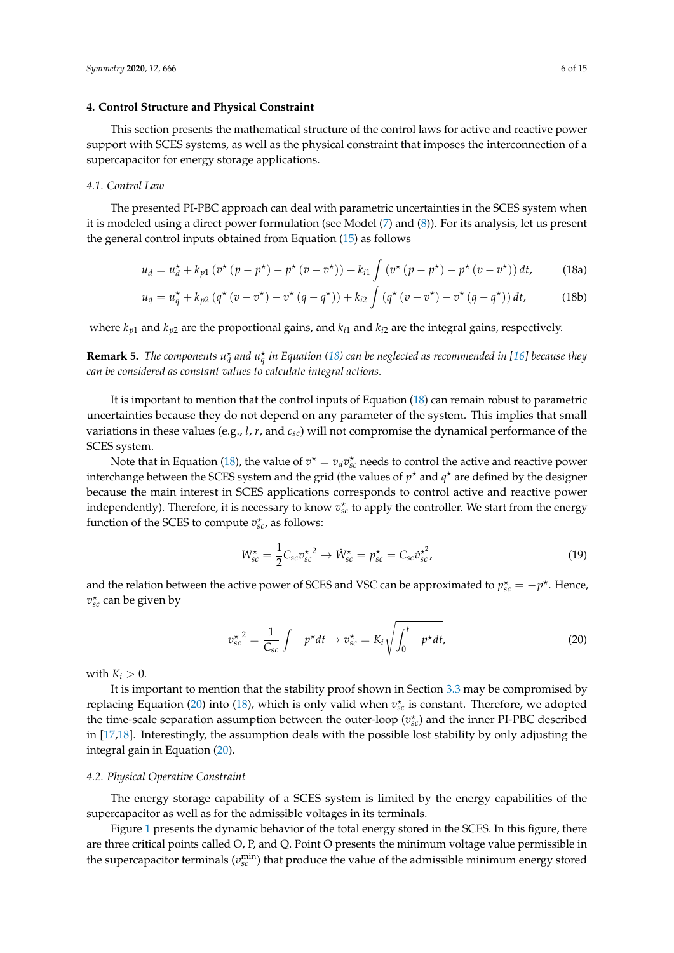## <span id="page-5-0"></span>**4. Control Structure and Physical Constraint**

This section presents the mathematical structure of the control laws for active and reactive power support with SCES systems, as well as the physical constraint that imposes the interconnection of a supercapacitor for energy storage applications.

#### *4.1. Control Law*

The presented PI-PBC approach can deal with parametric uncertainties in the SCES system when it is modeled using a direct power formulation (see Model [\(7\)](#page-2-1) and [\(8\)](#page-3-1)). For its analysis, let us present the general control inputs obtained from Equation [\(15\)](#page-4-3) as follows

$$
u_d = u_d^{\star} + k_{p1} \left( v^{\star} \left( p - p^{\star} \right) - p^{\star} \left( v - v^{\star} \right) \right) + k_{i1} \int \left( v^{\star} \left( p - p^{\star} \right) - p^{\star} \left( v - v^{\star} \right) \right) dt, \tag{18a}
$$

$$
u_q = u_q^{\star} + k_{p2} \left( q^{\star} \left( v - v^{\star} \right) - v^{\star} \left( q - q^{\star} \right) \right) + k_{i2} \int \left( q^{\star} \left( v - v^{\star} \right) - v^{\star} \left( q - q^{\star} \right) \right) dt, \tag{18b}
$$

where  $k_{p1}$  and  $k_{p2}$  are the proportional gains, and  $k_{i1}$  and  $k_{i2}$  are the integral gains, respectively.

**Remark 5.** The components  $u_d^*$  and  $u_q^*$  in Equation [\(18\)](#page-5-1) can be neglected as recommended in [\[16\]](#page-14-3) because they *can be considered as constant values to calculate integral actions.*

It is important to mention that the control inputs of Equation [\(18\)](#page-5-1) can remain robust to parametric uncertainties because they do not depend on any parameter of the system. This implies that small variations in these values (e.g., *l*, *r*, and *csc*) will not compromise the dynamical performance of the SCES system.

Note that in Equation [\(18\)](#page-5-1), the value of  $v^* = v_d v_{sc}^*$  needs to control the active and reactive power interchange between the SCES system and the grid (the values of  $p^*$  and  $q^*$  are defined by the designer because the main interest in SCES applications corresponds to control active and reactive power independently). Therefore, it is necessary to know  $v_{sc}^{\star}$  to apply the controller. We start from the energy function of the SCES to compute  $v_{sc}^{\star}$ , as follows:

<span id="page-5-2"></span><span id="page-5-1"></span>
$$
W_{sc}^{\star} = \frac{1}{2} C_{sc} v_{sc}^{\star 2} \to W_{sc}^{\star} = p_{sc}^{\star} = C_{sc} v_{sc}^{\star 2}, \qquad (19)
$$

and the relation between the active power of SCES and VSC can be approximated to  $p_{sc}^* = -p^*$ . Hence,  $v_{sc}^{\star}$  can be given by

$$
{v_{sc}^{\star}}^2 = \frac{1}{C_{sc}} \int -p^{\star} dt \to v_{sc}^{\star} = K_i \sqrt{\int_0^t -p^{\star} dt},
$$
 (20)

with  $K_i > 0$ .

It is important to mention that the stability proof shown in Section [3.3](#page-4-5) may be compromised by replacing Equation [\(20\)](#page-5-2) into [\(18\)](#page-5-1), which is only valid when  $v_{sc}^{\star}$  is constant. Therefore, we adopted the time-scale separation assumption between the outer-loop ( $v_{sc}^{\star}$ ) and the inner PI-PBC described in [\[17,](#page-14-4)[18\]](#page-14-5). Interestingly, the assumption deals with the possible lost stability by only adjusting the integral gain in Equation [\(20\)](#page-5-2).

#### *4.2. Physical Operative Constraint*

The energy storage capability of a SCES system is limited by the energy capabilities of the supercapacitor as well as for the admissible voltages in its terminals.

Figure [1](#page-6-1) presents the dynamic behavior of the total energy stored in the SCES. In this figure, there are three critical points called O, P, and Q. Point O presents the minimum voltage value permissible in the supercapacitor terminals  $(v_{sc}^{min})$  that produce the value of the admissible minimum energy stored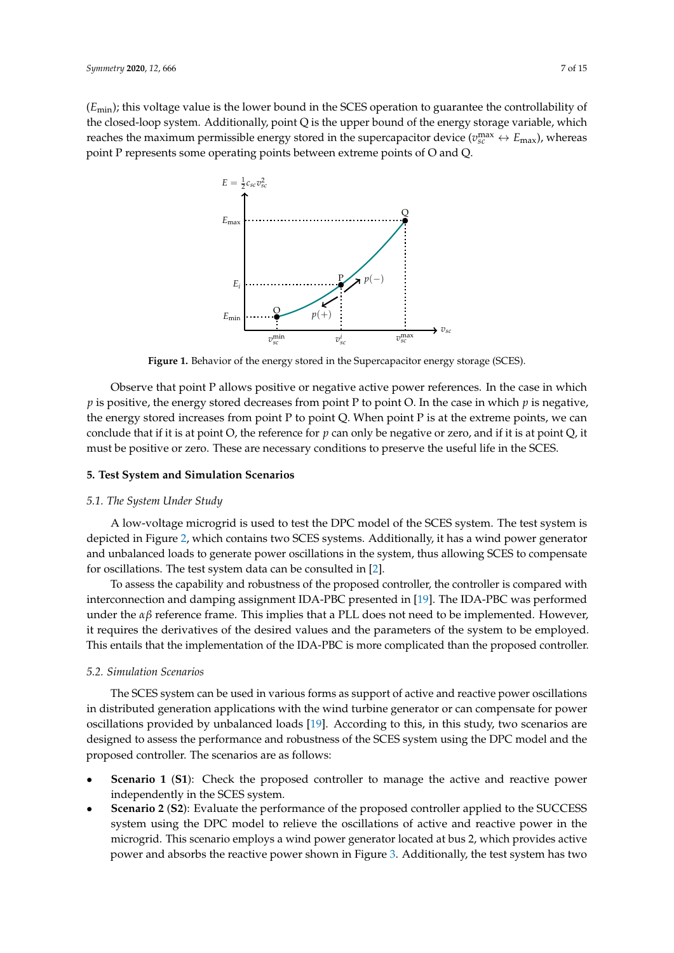<span id="page-6-1"></span>(*E*min); this voltage value is the lower bound in the SCES operation to guarantee the controllability of the closed-loop system. Additionally, point Q is the upper bound of the energy storage variable, which reaches the maximum permissible energy stored in the supercapacitor device  $(v_{sc}^{\max} \leftrightarrow E_{\max})$ , whereas point P represents some operating points between extreme points of O and Q.



**Figure 1.** Behavior of the energy stored in the Supercapacitor energy storage (SCES).

Observe that point P allows positive or negative active power references. In the case in which *p* is positive, the energy stored decreases from point P to point O. In the case in which *p* is negative, the energy stored increases from point P to point Q. When point P is at the extreme points, we can conclude that if it is at point O, the reference for *p* can only be negative or zero, and if it is at point Q, it must be positive or zero. These are necessary conditions to preserve the useful life in the SCES.

#### <span id="page-6-0"></span>**5. Test System and Simulation Scenarios**

#### *5.1. The System Under Study*

A low-voltage microgrid is used to test the DPC model of the SCES system. The test system is depicted in Figure [2,](#page-7-0) which contains two SCES systems. Additionally, it has a wind power generator and unbalanced loads to generate power oscillations in the system, thus allowing SCES to compensate for oscillations. The test system data can be consulted in [\[2\]](#page-13-1).

To assess the capability and robustness of the proposed controller, the controller is compared with interconnection and damping assignment IDA-PBC presented in [\[19\]](#page-14-6). The IDA-PBC was performed under the  $\alpha\beta$  reference frame. This implies that a PLL does not need to be implemented. However, it requires the derivatives of the desired values and the parameters of the system to be employed. This entails that the implementation of the IDA-PBC is more complicated than the proposed controller.

#### *5.2. Simulation Scenarios*

The SCES system can be used in various forms as support of active and reactive power oscillations in distributed generation applications with the wind turbine generator or can compensate for power oscillations provided by unbalanced loads [\[19\]](#page-14-6). According to this, in this study, two scenarios are designed to assess the performance and robustness of the SCES system using the DPC model and the proposed controller. The scenarios are as follows:

- **Scenario 1 (S1):** Check the proposed controller to manage the active and reactive power independently in the SCES system.
- **Scenario 2** (**S2**): Evaluate the performance of the proposed controller applied to the SUCCESS system using the DPC model to relieve the oscillations of active and reactive power in the microgrid. This scenario employs a wind power generator located at bus 2, which provides active power and absorbs the reactive power shown in Figure [3.](#page-7-1) Additionally, the test system has two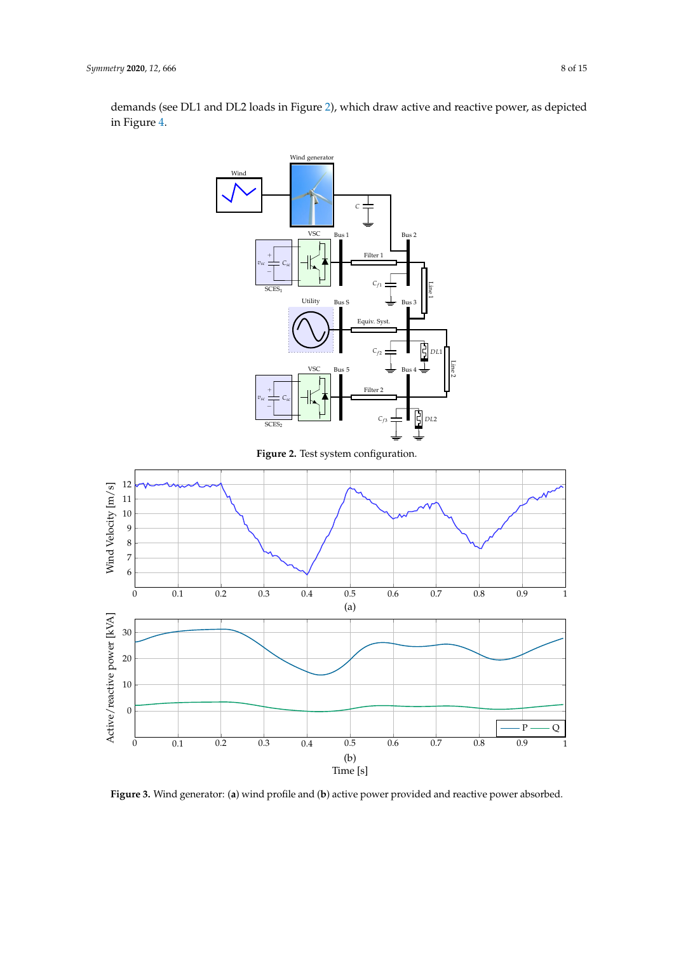demands (see DL1 and DL2 loads in Figure [2\)](#page-7-0), which draw active and reactive power, as depicted in Figure [4.](#page-8-1)

<span id="page-7-1"></span><span id="page-7-0"></span>

**Figure 3.** Wind generator: (**a**) wind profile and (**b**) active power provided and reactive power absorbed.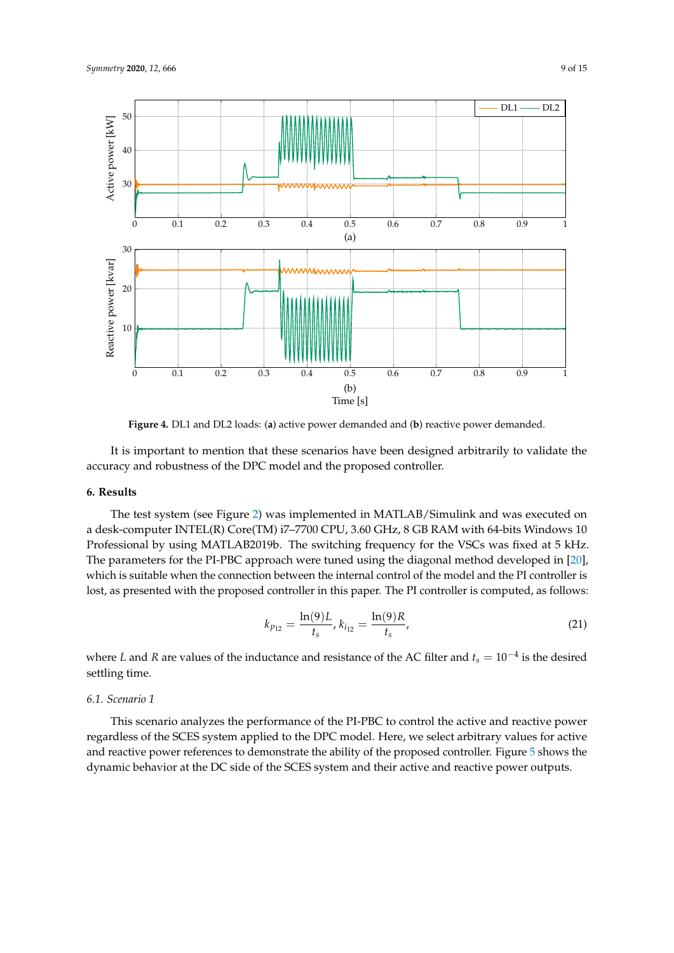<span id="page-8-1"></span>

**Figure 4.** DL1 and DL2 loads: (**a**) active power demanded and (**b**) reactive power demanded.

It is important to mention that these scenarios have been designed arbitrarily to validate the accuracy and robustness of the DPC model and the proposed controller.

## <span id="page-8-0"></span>**6. Results**

The test system (see Figure [2\)](#page-7-0) was implemented in MATLAB/Simulink and was executed on a desk-computer INTEL(R) Core(TM) i7–7700 CPU, 3.60 GHz, 8 GB RAM with 64-bits Windows 10 Professional by using MATLAB2019b. The switching frequency for the VSCs was fixed at 5 kHz. The parameters for the PI-PBC approach were tuned using the diagonal method developed in [\[20\]](#page-14-7), which is suitable when the connection between the internal control of the model and the PI controller is lost, as presented with the proposed controller in this paper. The PI controller is computed, as follows:

$$
k_{p_{12}} = \frac{\ln(9)L}{t_s}, k_{i_{12}} = \frac{\ln(9)R}{t_s},
$$
\n(21)

where *L* and *R* are values of the inductance and resistance of the AC filter and *t<sup>s</sup>* = 10−<sup>4</sup> is the desired settling time.

#### *6.1. Scenario 1*

This scenario analyzes the performance of the PI-PBC to control the active and reactive power regardless of the SCES system applied to the DPC model. Here, we select arbitrary values for active and reactive power references to demonstrate the ability of the proposed controller. Figure [5](#page-9-0) shows the dynamic behavior at the DC side of the SCES system and their active and reactive power outputs.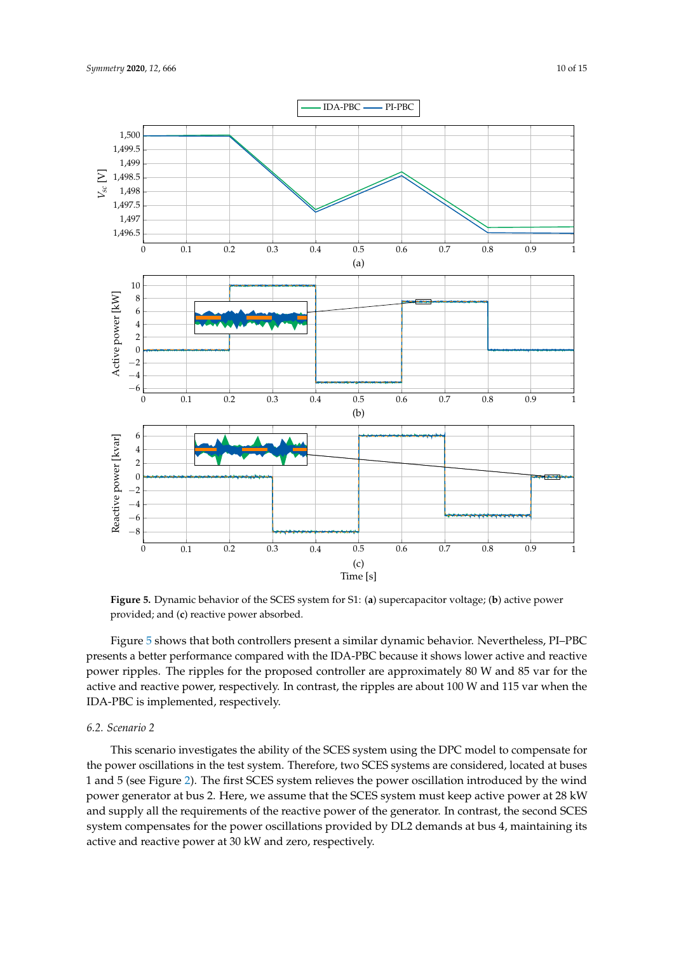<span id="page-9-0"></span>

**Figure 5.** Dynamic behavior of the SCES system for S1: (**a**) supercapacitor voltage; (**b**) active power provided; and (**c**) reactive power absorbed.

Figure [5](#page-9-0) shows that both controllers present a similar dynamic behavior. Nevertheless, PI–PBC presents a better performance compared with the IDA-PBC because it shows lower active and reactive power ripples. The ripples for the proposed controller are approximately 80 W and 85 var for the active and reactive power, respectively. In contrast, the ripples are about 100 W and 115 var when the IDA-PBC is implemented, respectively.

#### *6.2. Scenario 2*

This scenario investigates the ability of the SCES system using the DPC model to compensate for the power oscillations in the test system. Therefore, two SCES systems are considered, located at buses 1 and 5 (see Figure [2\)](#page-7-0). The first SCES system relieves the power oscillation introduced by the wind power generator at bus 2. Here, we assume that the SCES system must keep active power at 28 kW and supply all the requirements of the reactive power of the generator. In contrast, the second SCES system compensates for the power oscillations provided by DL2 demands at bus 4, maintaining its active and reactive power at 30 kW and zero, respectively.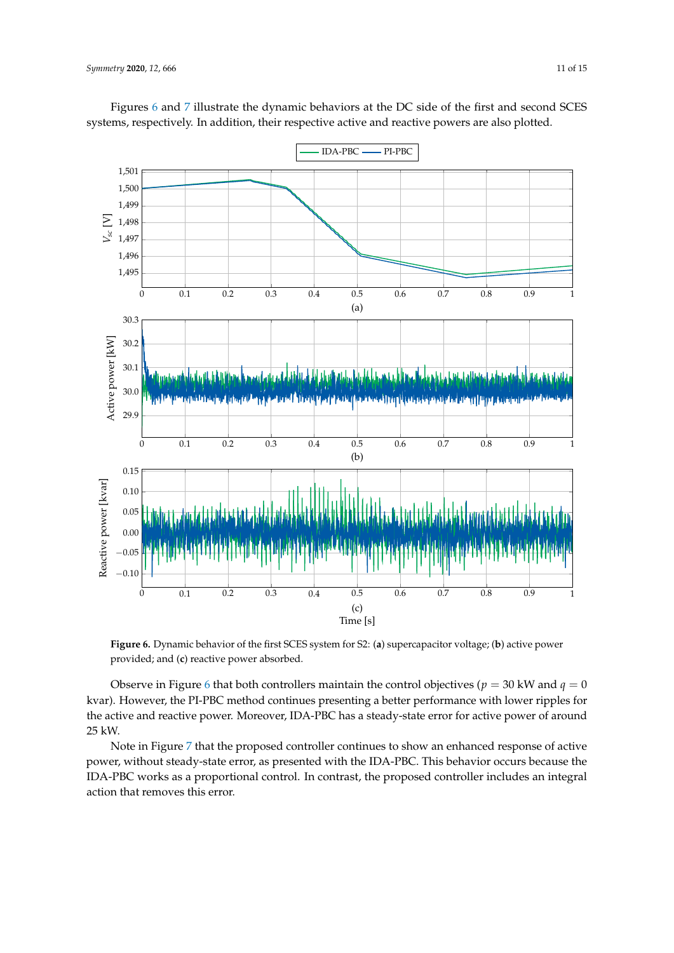<span id="page-10-0"></span>

Figures [6](#page-10-0) and [7](#page-11-0) illustrate the dynamic behaviors at the DC side of the first and second SCES systems, respectively. In addition, their respective active and reactive powers are also plotted.

**Figure 6.** Dynamic behavior of the first SCES system for S2: (**a**) supercapacitor voltage; (**b**) active power provided; and (**c**) reactive power absorbed.

Observe in Figure [6](#page-10-0) that both controllers maintain the control objectives ( $p = 30$  kW and  $q = 0$ ) kvar). However, the PI-PBC method continues presenting a better performance with lower ripples for the active and reactive power. Moreover, IDA-PBC has a steady-state error for active power of around 25 kW.

Note in Figure [7](#page-11-0) that the proposed controller continues to show an enhanced response of active power, without steady-state error, as presented with the IDA-PBC. This behavior occurs because the IDA-PBC works as a proportional control. In contrast, the proposed controller includes an integral action that removes this error.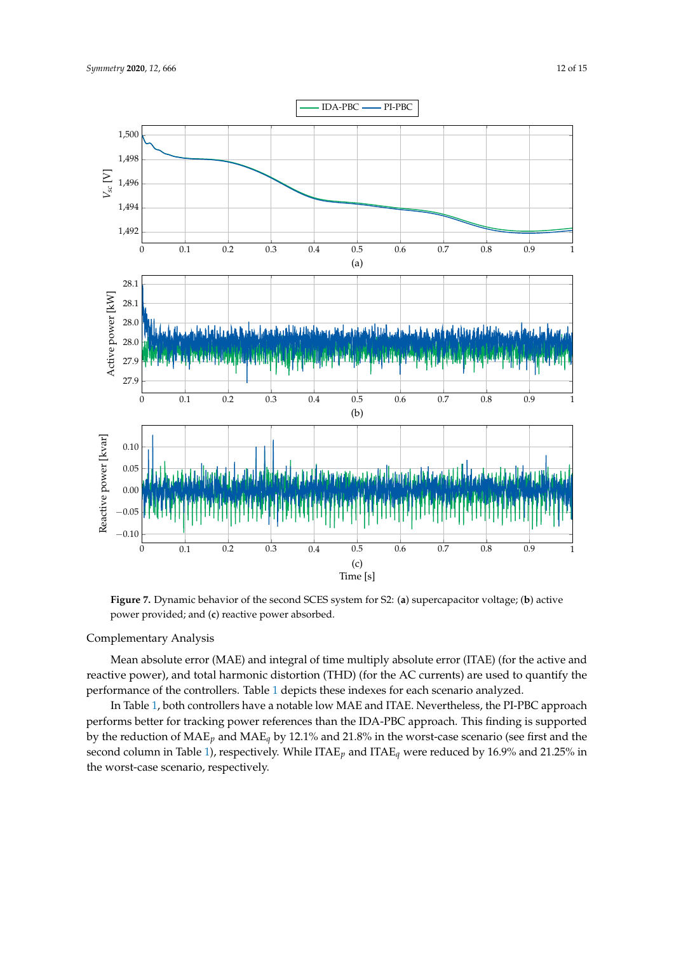<span id="page-11-0"></span>

**Figure 7.** Dynamic behavior of the second SCES system for S2: (**a**) supercapacitor voltage; (**b**) active power provided; and (**c**) reactive power absorbed.

## Complementary Analysis

Mean absolute error (MAE) and integral of time multiply absolute error (ITAE) (for the active and reactive power), and total harmonic distortion (THD) (for the AC currents) are used to quantify the performance of the controllers. Table [1](#page-12-0) depicts these indexes for each scenario analyzed.

In Table [1,](#page-12-0) both controllers have a notable low MAE and ITAE. Nevertheless, the PI-PBC approach performs better for tracking power references than the IDA-PBC approach. This finding is supported by the reduction of MAE*p* and MAE*q* by 12.1% and 21.8% in the worst-case scenario (see first and the second column in Table [1\)](#page-12-0), respectively. While ITAE*p* and ITAE*q* were reduced by 16.9% and 21.25% in the worst-case scenario, respectively.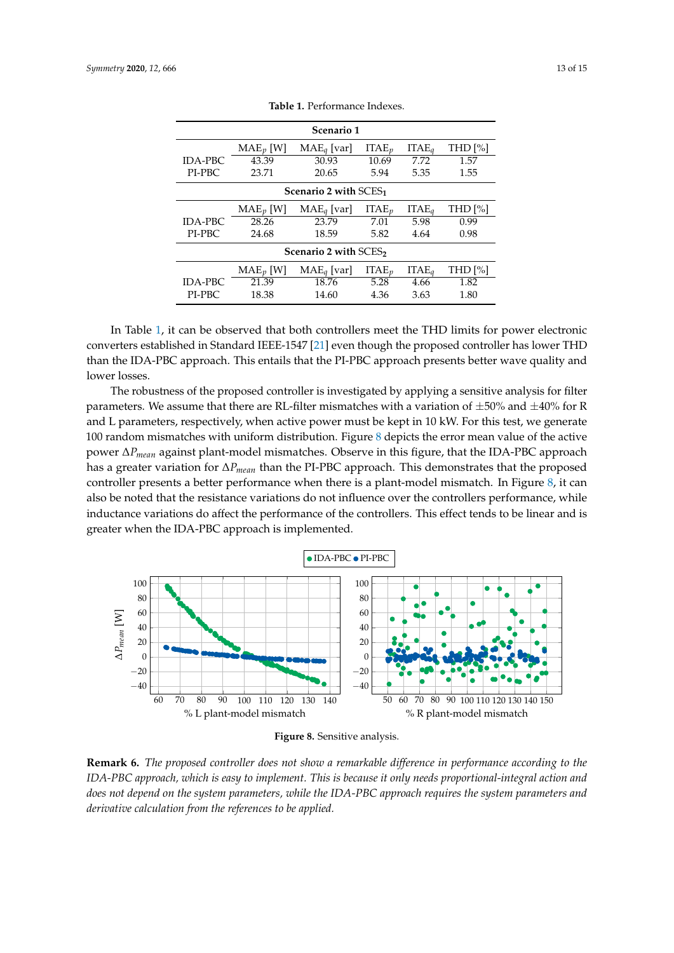<span id="page-12-0"></span>

| Scenario 1                        |             |               |          |                   |            |
|-----------------------------------|-------------|---------------|----------|-------------------|------------|
|                                   | $MAE_p$ [W] | $MAE_q$ [var] | $ITAE_n$ | ITAE <sub>a</sub> | THD $[\%]$ |
| <b>IDA-PBC</b>                    | 43.39       | 30.93         | 10.69    | 7.72              | 1.57       |
| PI-PBC                            | 23.71       | 20.65         | 5.94     | 5.35              | 1.55       |
| Scenario 2 with SCES <sub>1</sub> |             |               |          |                   |            |
|                                   | $MAE_p$ [W] | $MAE_q$ [var] | $ITAE_p$ | ITAE <sub>a</sub> | THD [%]    |
| <b>IDA-PBC</b>                    | 28.26       | 23.79         | 7.01     | 5.98              | 0.99       |
| PI-PBC                            | 24.68       | 18.59         | 5.82     | 4.64              | 0.98       |
| Scenario 2 with SCES <sub>2</sub> |             |               |          |                   |            |
|                                   | $MAE_p$ [W] | $MAE_q$ [var] | $ITAE_p$ | ITAE <sub>a</sub> | THD [%]    |
| <b>IDA-PBC</b>                    | 21.39       | 18.76         | 5.28     | 4.66              | 1.82       |
| PI-PBC                            | 18.38       | 14.60         | 4.36     | 3.63              | 1.80       |

**Table 1.** Performance Indexes.

In Table [1,](#page-12-0) it can be observed that both controllers meet the THD limits for power electronic converters established in Standard IEEE-1547 [\[21\]](#page-14-8) even though the proposed controller has lower THD than the IDA-PBC approach. This entails that the PI-PBC approach presents better wave quality and lower losses.

The robustness of the proposed controller is investigated by applying a sensitive analysis for filter parameters. We assume that there are RL-filter mismatches with a variation of  $\pm 50\%$  and  $\pm 40\%$  for R and L parameters, respectively, when active power must be kept in 10 kW. For this test, we generate 100 random mismatches with uniform distribution. Figure [8](#page-12-1) depicts the error mean value of the active power ∆*Pmean* against plant-model mismatches. Observe in this figure, that the IDA-PBC approach has a greater variation for ∆*Pmean* than the PI-PBC approach. This demonstrates that the proposed controller presents a better performance when there is a plant-model mismatch. In Figure [8,](#page-12-1) it can also be noted that the resistance variations do not influence over the controllers performance, while inductance variations do affect the performance of the controllers. This effect tends to be linear and is greater when the IDA-PBC approach is implemented.

<span id="page-12-1"></span>



**Remark 6.** *The proposed controller does not show a remarkable difference in performance according to the IDA-PBC approach, which is easy to implement. This is because it only needs proportional-integral action and does not depend on the system parameters, while the IDA-PBC approach requires the system parameters and derivative calculation from the references to be applied.*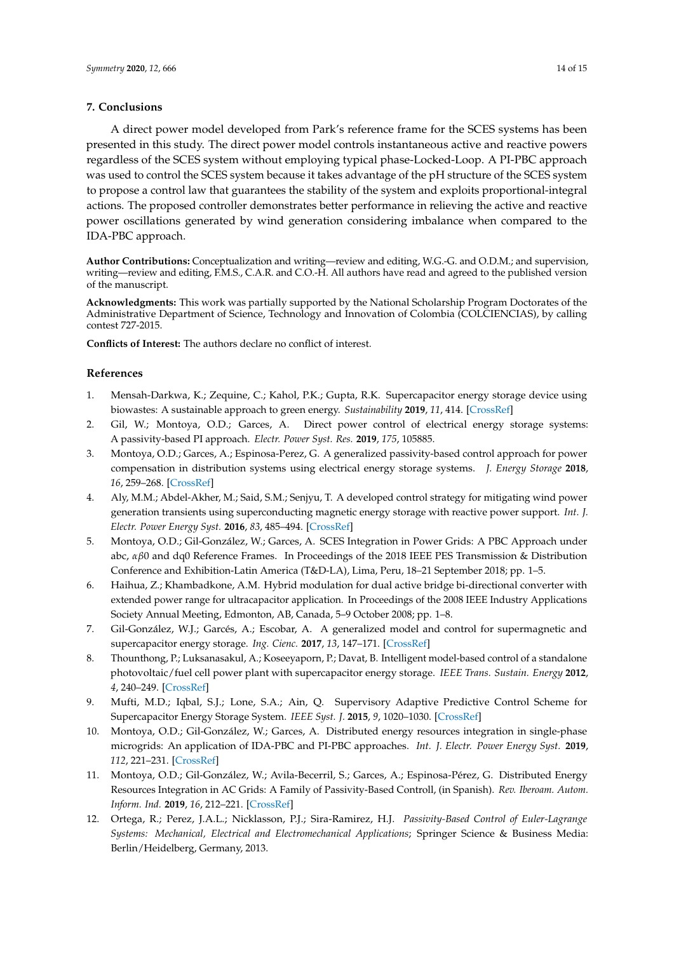#### **7. Conclusions**

A direct power model developed from Park's reference frame for the SCES systems has been presented in this study. The direct power model controls instantaneous active and reactive powers regardless of the SCES system without employing typical phase-Locked-Loop. A PI-PBC approach was used to control the SCES system because it takes advantage of the pH structure of the SCES system to propose a control law that guarantees the stability of the system and exploits proportional-integral actions. The proposed controller demonstrates better performance in relieving the active and reactive power oscillations generated by wind generation considering imbalance when compared to the IDA-PBC approach.

**Author Contributions:** Conceptualization and writing—review and editing, W.G.-G. and O.D.M.; and supervision, writing—review and editing, F.M.S., C.A.R. and C.O.-H. All authors have read and agreed to the published version of the manuscript.

**Acknowledgments:** This work was partially supported by the National Scholarship Program Doctorates of the Administrative Department of Science, Technology and Innovation of Colombia (COLCIENCIAS), by calling contest 727-2015.

**Conflicts of Interest:** The authors declare no conflict of interest.

#### **References**

- <span id="page-13-0"></span>1. Mensah-Darkwa, K.; Zequine, C.; Kahol, P.K.; Gupta, R.K. Supercapacitor energy storage device using biowastes: A sustainable approach to green energy. *Sustainability* **2019**, *11*, 414. [\[CrossRef\]](http://dx.doi.org/10.3390/su11020414)
- <span id="page-13-1"></span>2. Gil, W.; Montoya, O.D.; Garces, A. Direct power control of electrical energy storage systems: A passivity-based PI approach. *Electr. Power Syst. Res.* **2019**, *175*, 105885.
- <span id="page-13-2"></span>3. Montoya, O.D.; Garces, A.; Espinosa-Perez, G. A generalized passivity-based control approach for power compensation in distribution systems using electrical energy storage systems. *J. Energy Storage* **2018**, *16*, 259–268. [\[CrossRef\]](http://dx.doi.org/10.1016/j.est.2018.01.018)
- <span id="page-13-3"></span>4. Aly, M.M.; Abdel-Akher, M.; Said, S.M.; Senjyu, T. A developed control strategy for mitigating wind power generation transients using superconducting magnetic energy storage with reactive power support. *Int. J. Electr. Power Energy Syst.* **2016**, *83*, 485–494. [\[CrossRef\]](http://dx.doi.org/10.1016/j.ijepes.2016.04.037)
- <span id="page-13-4"></span>5. Montoya, O.D.; Gil-González, W.; Garces, A. SCES Integration in Power Grids: A PBC Approach under abc, *αβ*0 and dq0 Reference Frames. In Proceedings of the 2018 IEEE PES Transmission & Distribution Conference and Exhibition-Latin America (T&D-LA), Lima, Peru, 18–21 September 2018; pp. 1–5.
- <span id="page-13-5"></span>6. Haihua, Z.; Khambadkone, A.M. Hybrid modulation for dual active bridge bi-directional converter with extended power range for ultracapacitor application. In Proceedings of the 2008 IEEE Industry Applications Society Annual Meeting, Edmonton, AB, Canada, 5–9 October 2008; pp. 1–8.
- <span id="page-13-6"></span>7. Gil-González, W.J.; Garcés, A.; Escobar, A. A generalized model and control for supermagnetic and supercapacitor energy storage. *Ing. Cienc.* **2017**, *13*, 147–171. [\[CrossRef\]](http://dx.doi.org/10.17230/ingciencia.13.26.6)
- <span id="page-13-7"></span>8. Thounthong, P.; Luksanasakul, A.; Koseeyaporn, P.; Davat, B. Intelligent model-based control of a standalone photovoltaic/fuel cell power plant with supercapacitor energy storage. *IEEE Trans. Sustain. Energy* **2012**, *4*, 240–249. [\[CrossRef\]](http://dx.doi.org/10.1109/TSTE.2012.2214794)
- <span id="page-13-8"></span>9. Mufti, M.D.; Iqbal, S.J.; Lone, S.A.; Ain, Q. Supervisory Adaptive Predictive Control Scheme for Supercapacitor Energy Storage System. *IEEE Syst. J.* **2015**, *9*, 1020–1030. [\[CrossRef\]](http://dx.doi.org/10.1109/JSYST.2013.2289251)
- <span id="page-13-9"></span>10. Montoya, O.D.; Gil-González, W.; Garces, A. Distributed energy resources integration in single-phase microgrids: An application of IDA-PBC and PI-PBC approaches. *Int. J. Electr. Power Energy Syst.* **2019**, *112*, 221–231. [\[CrossRef\]](http://dx.doi.org/10.1016/j.ijepes.2019.04.046)
- <span id="page-13-10"></span>11. Montoya, O.D.; Gil-González, W.; Avila-Becerril, S.; Garces, A.; Espinosa-Pérez, G. Distributed Energy Resources Integration in AC Grids: A Family of Passivity-Based Controll, (in Spanish). *Rev. Iberoam. Autom. Inform. Ind.* **2019**, *16*, 212–221. [\[CrossRef\]](http://dx.doi.org/10.4995/riai.2018.10666)
- <span id="page-13-11"></span>12. Ortega, R.; Perez, J.A.L.; Nicklasson, P.J.; Sira-Ramirez, H.J. *Passivity-Based Control of Euler-Lagrange Systems: Mechanical, Electrical and Electromechanical Applications*; Springer Science & Business Media: Berlin/Heidelberg, Germany, 2013.